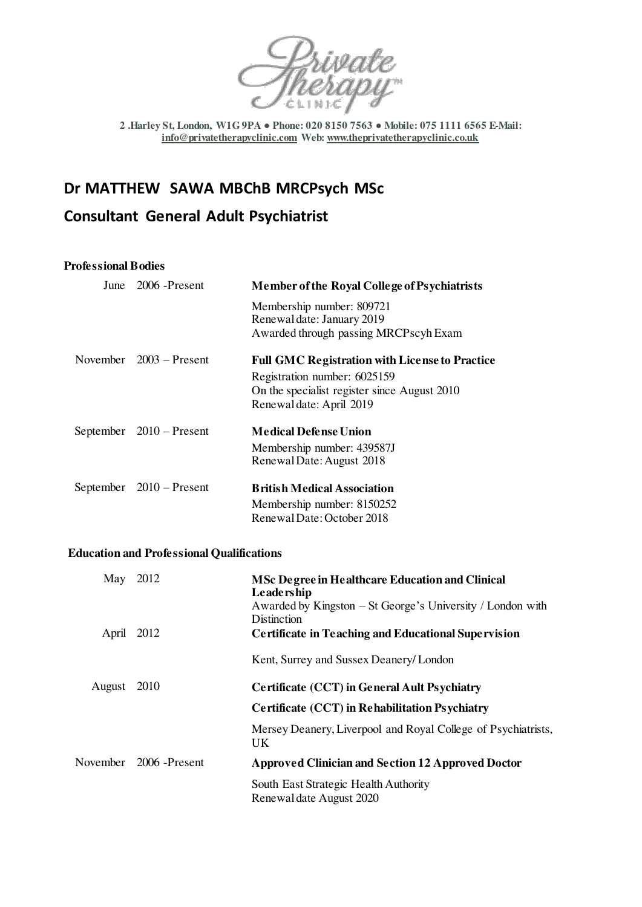

**2 .Harley St, London, W1G 9PA ● Phone: 020 8150 7563 ● Mobile: 075 1111 6565 E-Mail: [info@privatetherapyclinic.com W](mailto:info@privatetherapyclinic.com)eb[: www.theprivatetherapyclinic.co.uk](http://www.theprivatetherapyclinic.co.uk/)** 

# **Dr MATTHEW SAWA MBChB MRCPsych MSc**

# **Consultant General Adult Psychiatrist**

# **Professional Bodies**

| June 2006 -Present         | <b>Member of the Royal College of Psychiatrists</b>   |
|----------------------------|-------------------------------------------------------|
|                            | Membership number: 809721                             |
|                            | Renewal date: January 2019                            |
|                            | Awarded through passing MRCPscyh Exam                 |
| November $2003 -$ Present  | <b>Full GMC Registration with License to Practice</b> |
|                            | Registration number: 6025159                          |
|                            | On the specialist register since August 2010          |
|                            | Renewal date: April 2019                              |
| September $2010 -$ Present | <b>Medical Defense Union</b>                          |
|                            | Membership number: 439587J                            |
|                            | Renewal Date: August 2018                             |
| September $2010 -$ Present | <b>British Medical Association</b>                    |
|                            | Membership number: 8150252                            |
|                            | Renewal Date: October 2018                            |
|                            |                                                       |

# **Education and Professional Qualifications**

| May 2012 |                        | <b>MSc Degree in Healthcare Education and Clinical</b><br>Leadership<br>Awarded by Kingston $-$ St George's University / London with<br>Distinction |
|----------|------------------------|-----------------------------------------------------------------------------------------------------------------------------------------------------|
| April    | 2012                   | <b>Certificate in Teaching and Educational Supervision</b>                                                                                          |
|          |                        | Kent, Surrey and Sussex Deanery/London                                                                                                              |
| August   | 2010                   | <b>Certificate (CCT) in General Ault Psychiatry</b>                                                                                                 |
|          |                        | <b>Certificate (CCT) in Rehabilitation Psychiatry</b>                                                                                               |
|          |                        | Mersey Deanery, Liverpool and Royal College of Psychiatrists,<br>UK.                                                                                |
|          | November 2006 -Present | <b>Approved Clinician and Section 12 Approved Doctor</b>                                                                                            |
|          |                        | South East Strategic Health Authority<br>Renewal date August 2020                                                                                   |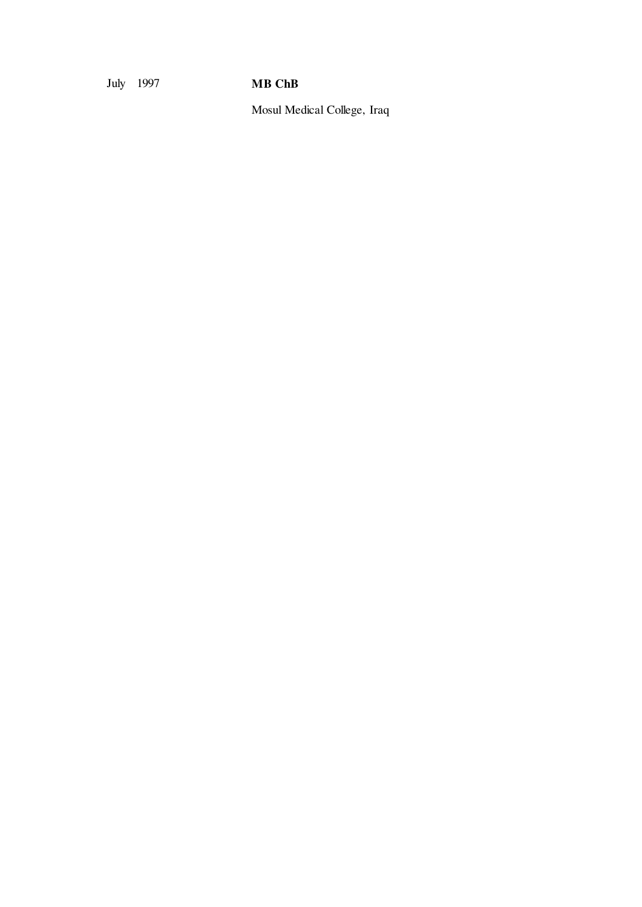July 1997 **MB ChB** 

Mosul Medical College, Iraq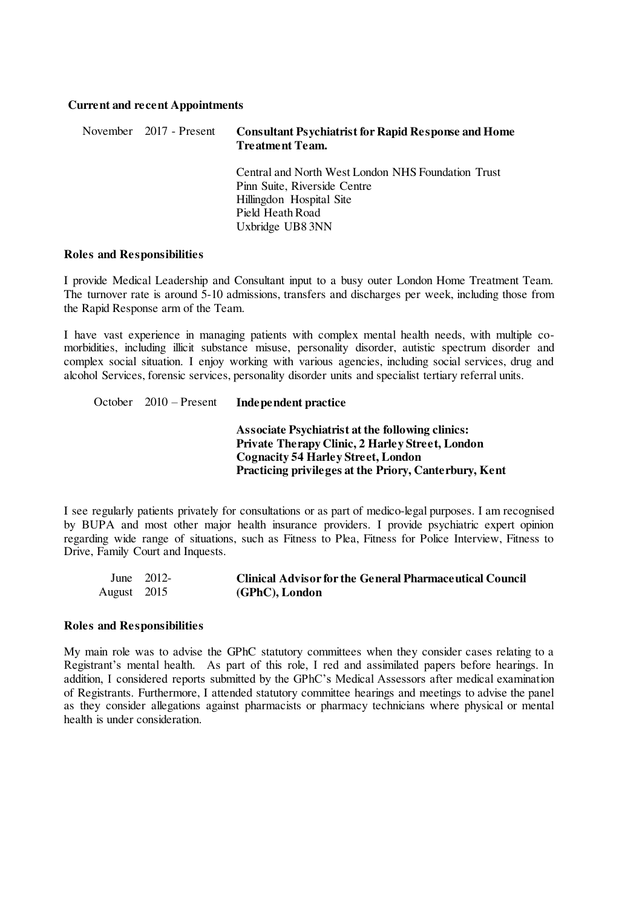#### **Current and recent Appointments**

| November 2017 - Present | <b>Consultant Psychiatrist for Rapid Response and Home</b><br><b>Treatment Team.</b>                                                                   |
|-------------------------|--------------------------------------------------------------------------------------------------------------------------------------------------------|
|                         | Central and North West London NHS Foundation Trust<br>Pinn Suite, Riverside Centre<br>Hillingdon Hospital Site<br>Pield Heath Road<br>Uxbridge UB8 3NN |

#### **Roles and Responsibilities**

I provide Medical Leadership and Consultant input to a busy outer London Home Treatment Team. The turnover rate is around 5-10 admissions, transfers and discharges per week, including those from the Rapid Response arm of the Team.

I have vast experience in managing patients with complex mental health needs, with multiple comorbidities, including illicit substance misuse, personality disorder, autistic spectrum disorder and complex social situation. I enjoy working with various agencies, including social services, drug and alcohol Services, forensic services, personality disorder units and specialist tertiary referral units.

# October 2010 – Present **Independent practice**

**Associate Psychiatrist at the following clinics: Private Therapy Clinic, 2 Harley Street, London Cognacity 54 Harley Street, London Practicing privileges at the Priory, Canterbury, Kent** 

I see regularly patients privately for consultations or as part of medico-legal purposes. I am recognised by BUPA and most other major health insurance providers. I provide psychiatric expert opinion regarding wide range of situations, such as Fitness to Plea, Fitness for Police Interview, Fitness to Drive, Family Court and Inquests.

|             | June $2012$ | <b>Clinical Advisor for the General Pharmaceutical Council</b> |
|-------------|-------------|----------------------------------------------------------------|
| August 2015 |             | (GPhC), London                                                 |

#### **Roles and Responsibilities**

My main role was to advise the GPhC statutory committees when they consider cases relating to a Registrant's mental health. As part of this role, I red and assimilated papers before hearings. In addition, I considered reports submitted by the GPhC's Medical Assessors after medical examination of Registrants. Furthermore, I attended statutory committee hearings and meetings to advise the panel as they consider allegations against pharmacists or pharmacy technicians where physical or mental health is under consideration.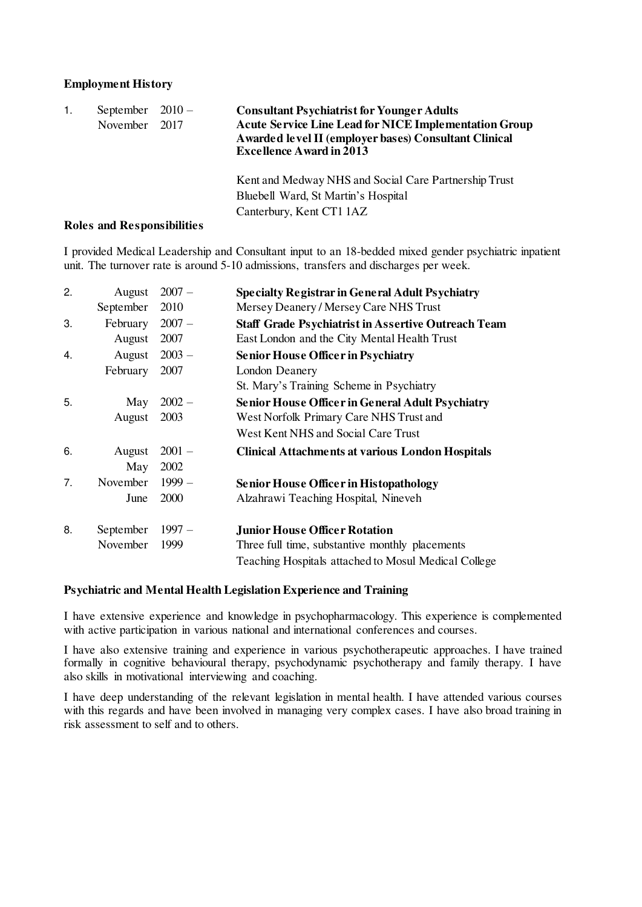## **Employment History**

| 1. | September $2010 -$<br>November | 2017                              | <b>Consultant Psychiatrist for Younger Adults</b><br><b>Acute Service Line Lead for NICE Implementation Group</b><br>Awarded level II (employer bases) Consultant Clinical<br><b>Excellence Award in 2013</b> |
|----|--------------------------------|-----------------------------------|---------------------------------------------------------------------------------------------------------------------------------------------------------------------------------------------------------------|
|    |                                | <b>Roles and Responsibilities</b> | Kent and Medway NHS and Social Care Partnership Trust<br>Bluebell Ward, St Martin's Hospital<br>Canterbury, Kent CT1 1AZ                                                                                      |

I provided Medical Leadership and Consultant input to an 18-bedded mixed gender psychiatric inpatient unit. The turnover rate is around 5-10 admissions, transfers and discharges per week.

| 2. | August    | $2007 -$    | <b>Specialty Registrar in General Adult Psychiatry</b>     |
|----|-----------|-------------|------------------------------------------------------------|
|    | September | 2010        | Mersey Deanery / Mersey Care NHS Trust                     |
| 3. | February  | $2007 -$    | <b>Staff Grade Psychiatrist in Assertive Outreach Team</b> |
|    | August    | 2007        | East London and the City Mental Health Trust               |
| 4. | August    | $2003 -$    | <b>Senior House Officer in Psychiatry</b>                  |
|    | February  | 2007        | <b>London Deanery</b>                                      |
|    |           |             | St. Mary's Training Scheme in Psychiatry                   |
| 5. | May       | $2002 -$    | <b>Senior House Officer in General Adult Psychiatry</b>    |
|    | August    | 2003        | West Norfolk Primary Care NHS Trust and                    |
|    |           |             | West Kent NHS and Social Care Trust                        |
| 6. | August    | $2001 -$    | <b>Clinical Attachments at various London Hospitals</b>    |
|    | May       | 2002        |                                                            |
| 7. | November  | $1999-$     | <b>Senior House Officer in Histopathology</b>              |
|    | June      | <b>2000</b> | Alzahrawi Teaching Hospital, Nineveh                       |
| 8. | September | $1997 -$    | <b>Junior House Officer Rotation</b>                       |
|    | November  | 1999        | Three full time, substantive monthly placements            |
|    |           |             | Teaching Hospitals attached to Mosul Medical College       |

## **Psychiatric and Mental Health Legislation Experience and Training**

I have extensive experience and knowledge in psychopharmacology. This experience is complemented with active participation in various national and international conferences and courses.

I have also extensive training and experience in various psychotherapeutic approaches. I have trained formally in cognitive behavioural therapy, psychodynamic psychotherapy and family therapy. I have also skills in motivational interviewing and coaching.

I have deep understanding of the relevant legislation in mental health. I have attended various courses with this regards and have been involved in managing very complex cases. I have also broad training in risk assessment to self and to others.